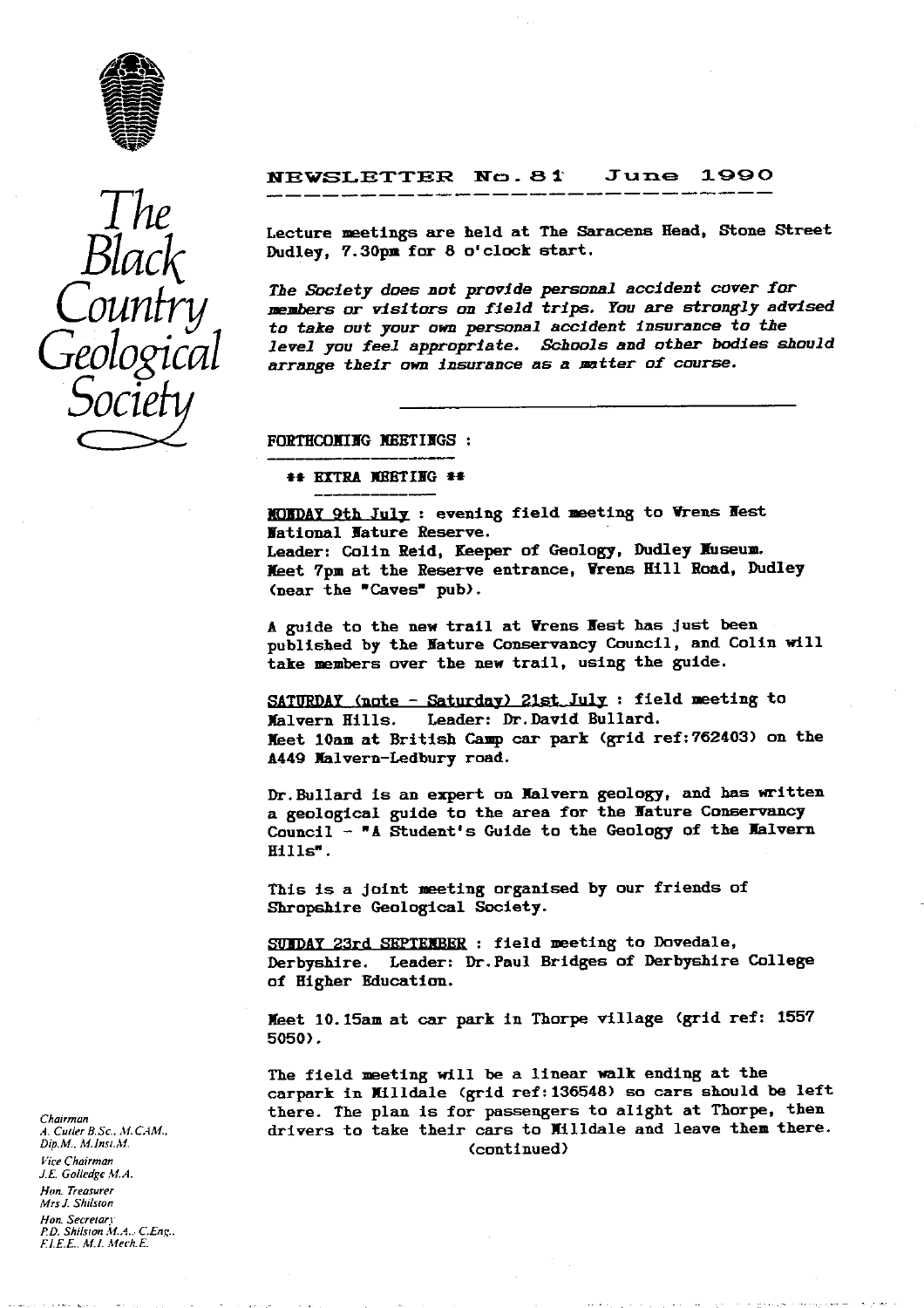

*The Black Counfry Socie*

# **NEWSLETTER No. 81 June 1990**

**Lecture meetings are held at The Saracens Head, Stone Street** Dudley, 7.30pm for 8 o'clock start.

*The Society does* **not provide personal** *accident cover for members or visitors on field trips. You are strongly advised* **to take out your own personal accident insurance to** *the level you feel appropriate. Schools and other bodies should arrange their own* **insurance as a matter of course.**

FORTHCOMING NEETINGS :

14 **EXTRA JERT IIG** *14*

**XQIDAY 9th July : evening field meeting to Wrens Hest National Nature Reserve. Leader: Colin Reid, Keeper of Geology, Dudley IIuseum.** *fleet 7pm* **at the Reserve entrance, Wrens Hill Road, Dudley (near the "Caves" pub).**

**A guide to the new trail at Wrens Rest has Just been published by the Nature Conservancy Council, and Colin will take members over the new trail, using the guide.**

**SATURDAY** (note - Saturday) 21st July : field meeting to **Jalvern Hills. Leader: Dr.David Bullard.** *Meet* **14am at British Camp car park (grid ref:762403) on the A449 Malvern-Ledbury road.**

**Dr.Bullard is an expert on Malvern geology, and has written a geological guide to the area for the Mature Conservancy Council - "A Student's Guide to the Geology of the Malvern Hills".**

**This is a joint meeting organised by our friends of Shropshire Geological Society.**

**SUNDAY 23rd SEPTENBER : field meeting to Dovedale, Derbyshire. Leader: Dr.Paul Bridges of Derbyshire College of Higher Education.**

*'feet* **10.15am at car park in Thorpe village (grid ref: 1557** *5050).*

**The field meeting will be a linear walk ending at the carpark in xiildale (grid ref:136548) so cars should be left there. The plan is for passengers to alight at Thorpe, then drivers to take their cars to lilidale and leave them there. (continued)**

*Chairman A. Curler \$.5c.. M. CAM. Dip.M.. M.Insi.M. Vice Chairman J.E. Go/ledge .M. A. Han. Treasurer Mrs J..Shilsron Hon. Secrelarr P.D. Shilsran M.A.. CEng.. FJ.E.E.. Mi. AMech.E.*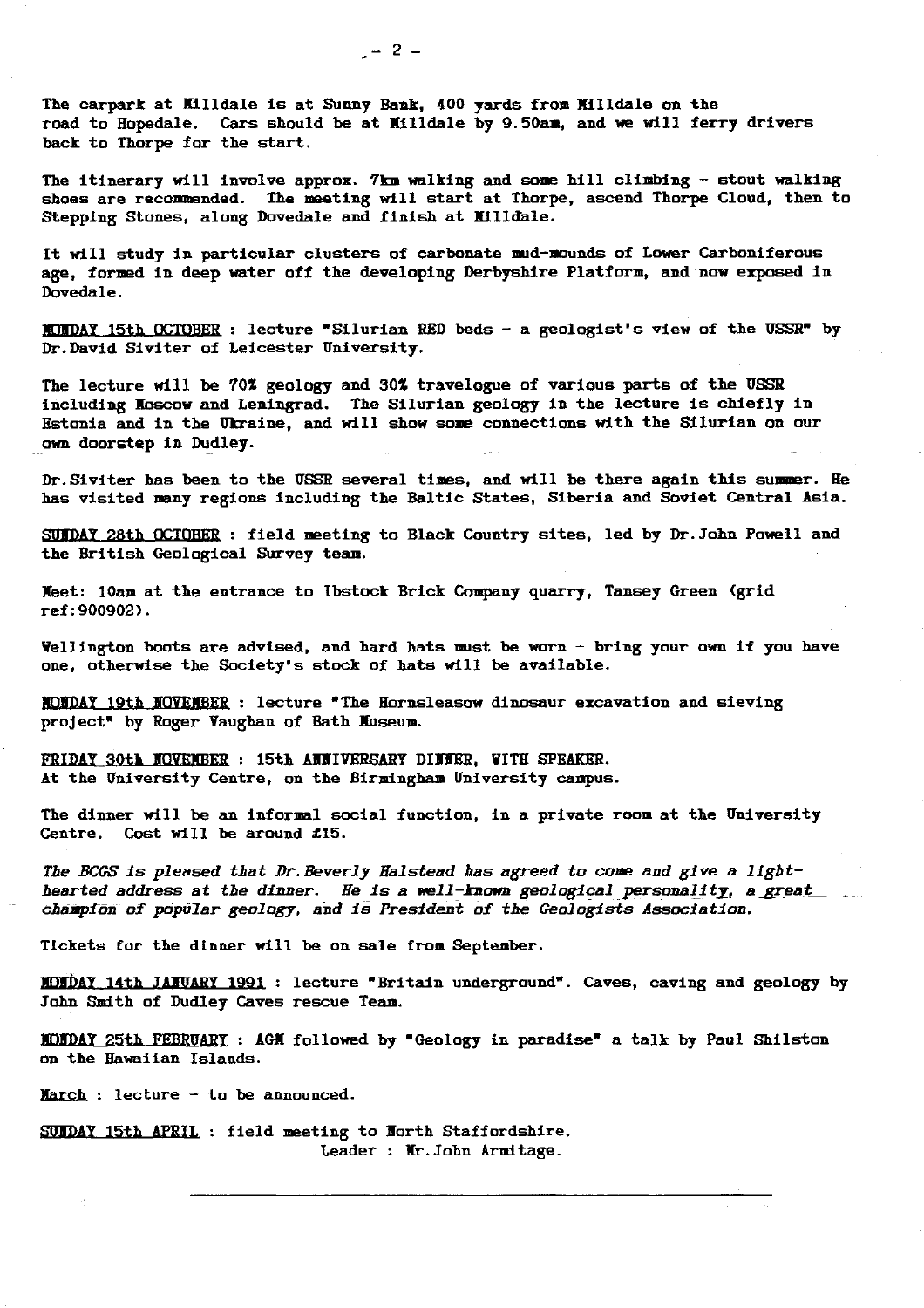The carpark at Hilldale is at Sunny Bank, 400 yards from **Xilldale** on the road to Hopedale. Cars should be **at Ilildale** by 9.50am, and we **will ferry drivers** back to Thorpe for the start.

The itinerary will involve approx. 7kn walking and some hill climbing - stout walking shoes are recommended. The meeting will start at Thorpe, ascend Thorpe Cloud, then to Stepping Stones, along Dovedale and finish at Nilldale.

It will study in particular clusters of carbonate mud-Hounds of Lower Carboniferous age, formed in deep water off the developing **Derbyshire** Platform, and now exposed in Dovedale.

MUNDAY 15th OCTOBER : lecture "Silurian RED beds - a geologist's view of the USSR" by Dr. David Siviter of Leicester University.

The lecture will be 70% geology and 30% travelogue of various parts of the USSR including Moscow and Leningrad. The Silurian geology in the lecture is chiefly in Estonia and in the Ukraine, and will show some connections with the Silurian on our own doorstep in Dudley.

Dr. Siviter has been to the USSR several times, and will be there again this summer. He has visited many regions including the Baltic States, Siberia and Soviet Central Asia.

SUIDAY 28th OCTOBER : field meeting to Black Country sites, led by Dr. John Powell and the British Geological **Survey team.**

**Meet:** 10am at the entrance to Ibstock Brick Company quarry, Tansey Green (grid ref:900902).

Wellington boots are advised, and hard hats must be worn - bring your own if you have one, otherwise the Society's stock of hats will be available.

1Ff1 DAY 19th **AOYEJIBER :** lecture The **Hornsleasow** dinosaur excavation and sieving project" by Roger Vaughan of Bath Museum.

FRIDAY 30th NOVEMBER : 15th AUNIVERSARY DINNER, WITH SPEAKER. At the University Centre, on the Birmingham University campus.

The dinner will be an informal social function, in a private room at the University Centre. Cost will be around £15.

*The BCGS is pleased that Dr.Beverly Halstead has agreed to cane and give a light***hearted address at the dinner. He is a well-known geological personali ty, agreat** *chiamptmn* of popular geology, and is *President of the Geologists* **Association.**

**Tickets for** the dinner will be on sale from September.

MONDAY 14th JA VARY 1991 : lecture "Britain underground". Caves, caving and geology by John Smith of Dudley Caves rescue Team.

J 3JDAY25th FEBRUARY : **AGX** followed by "Geology in paradise" a talk by Paul Shilston an the Hawaiian Islands.

March : lecture - to be announced.

SUNDAY 15th APRIL : field meeting to Borth Staffordshire. Leader : Mr. John Armitage.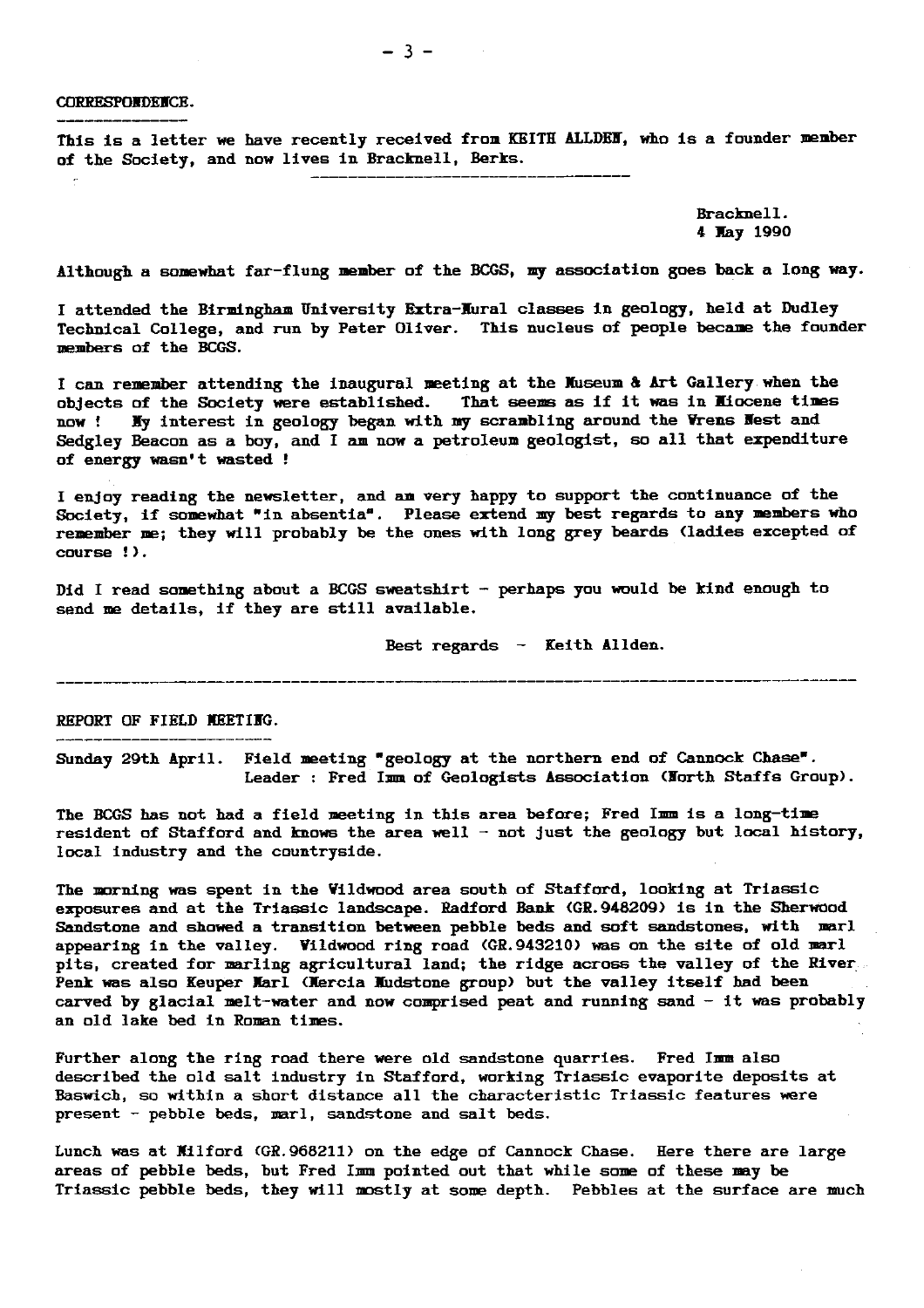CORRESPONDENCE.

This Is a letter we have recently received from KEITH **ALLDEI,** who is a founder member of the Society, and now lives in Bracknell, Berks.

> Bracknell. 4 Way 1990

Although a somewhat far-flung member of the BCGS, my association goes back a long way.

I attended the Birmingham **University Extra-Dural** classes in geology, held at Dudley Technical College, and run by Peter Oliver. This nucleus of people became the founder members of the BCGS.

I can remember attending the inaugural meeting at the Museum & Art Gallery when the **objects of the Society were established. That seems as if it was in IIiocene times now ! My interest in geology began with my scrambling around the Yrens Hest and** Sedgley Beacon as a boy, and I am now a petroleum geologist, so all that expenditure of energy wasn't wasted !

I enjoy reading the newsletter, and **an** very happy to support the continuance of the Society, if somewhat "in absentia". Please extend my best regards to any members who remember me; they will probably be the ones with long grey beards (ladies excepted of course !).

Did I read something about a BCGS sweatshirt - perhaps you would be kind enough to send me details, if they are still available.

Best regards - Keith Aliden.

REPORT OF FIELD MEETING.

**Sunday 29th April. Field** meeting "geology at the northern end of Cannock Chase". Leader : Fred Imm of Geologists Association (Korth Staffs Group).

The BCGS has not had a field meeting in this area before; Fred Imm is a long-time resident of Stafford and knows the area well - not just the geology but local history, local industry and the countryside.

The morning was spent in the Viidwood area south of Stafford, looking at Triassic exposures and at the Triassic landscape. Radford Bank (GR.948209) is in the Sherwood Sandstone and showed a transition between pebble beds and soft sandstones, with marl appearing in the valley. Vildwood ring road (GR.943210) was on the site of old marl pits, created for marling agricultural land; the ridge across the valley of the River. Penk was also Keuper Karl (lercia Wudstoue group) but the valley itself had been carved by glacial melt-water and now comprised peat and running sand - it **was** probably an old lake bed In Roman. times.

Further along the ring road there were old sandstone quarries. Fred Imm also described the old salt industry in Stafford, working **Triassic evaporite** deposits at Baswich, so within a short distance all the characteristic Triassic features were present - pebble beds, marl, sandstone and salt beds.

Lunch was at **Jilford** (GR.968211) on the edge of Cannock Chase. Here there are large areas of pebble beds, but Fred Imm pointed out that while some of these may be Triassic pebble beds, they will mostly at some depth. Pebbles at the surface are much

 $-3-$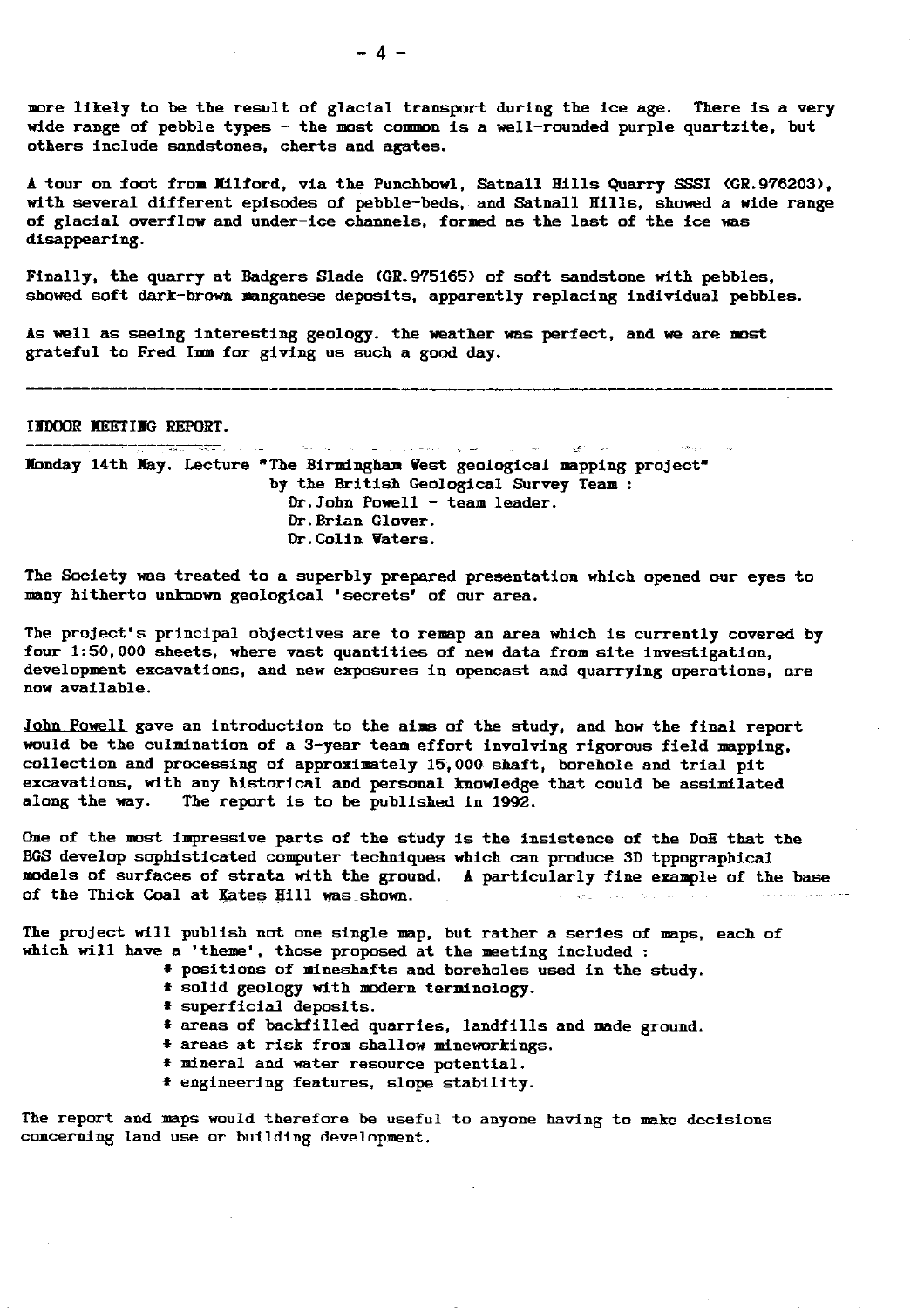**more likely to be the result of glacial transport during the ice** *age.* **There is a very** wide range of pebble types - the most common is a well-rounded purple quartzite, but **others include sandstones, cherts and agates.**

**A tour on foot from Milford, via the Punchbowl, Satnall Hills Quarry SSSI (GR.976203), with several different episodes of pebble-beds, and Satnall. Hills, showed a wide range of glacial overflow and** *under***-ice channels, formed as the last of the ice was disappearing.**

**Finally, the quarry at Badgers Slade (GR.975165) of soft sandstone with pebbles, showed soft dark-brown manganese deposits, apparently replacing individual pebbles.**

**As well as seeing interesting geology, the weather was perfect, and we are most grateful to Fred Imm for giving us such a good day.**

**INDOOR IEETING REPORT.**

 $\label{eq:2} \mathcal{L}_{\mathcal{P}}(\mathcal{L}_{\mathcal{P}}(\mathcal{L}_{\mathcal{P}})) = \mathcal{L}_{\mathcal{P}}(\mathcal{L}_{\mathcal{P}}(\mathcal{L}_{\mathcal{P}})) = \mathcal{L}_{\mathcal{P}}(\mathcal{L}_{\mathcal{P}}(\mathcal{L}_{\mathcal{P}})) = \mathcal{L}_{\mathcal{P}}(\mathcal{L}_{\mathcal{P}}(\mathcal{L}_{\mathcal{P}})) = \mathcal{L}_{\mathcal{P}}(\mathcal{L}_{\mathcal{P}}(\mathcal{L}_{\mathcal{P}})) = \mathcal{L}_{\mathcal{P}}(\mathcal{L}_{\mathcal{P$ **Xonday 14th May. Lecture "The Birmingham Vest geological mapping project' by the British Geological Survey Team Dr.John Powell - team leader. Dr. Brian Glover. Dr.Colin Waters.**

**The Society was treated to a superbly prepared presentation which opened our eyes to many hitherto unknown geological 'secrets' of our area.**

 $\mathcal{L}(\mathcal{A}^{(k)})$  , we

**The project's principal objectives are to remap an area which is currently covered by four 1:50,000 sheets, where vast quantities of new data from site investigation, development excavations, and new exposures in opencast and quarrying operations, are now available.**

**John Powell gave an introduction to the aims of the study, and how the final report** would be the culmination of a 3-year team effort involving rigorous field mapping. **collection and processing of approximately 15,000 shaft, borehole and trial pit** excavations, with any historical and personal knowledge that could be assimilated along the way. The report is to be published in 1992. The report is to be published in 1992.

**One of the most impressive parts of the study is the insistence of the DoE that the BGS develop sophisticated computer techniques which can produce 3D tppographical models of surfaces of strata with the ground. A particularly fine example of the base of the Thick Coal at Kates Hill was shown.**

**The project will publish not one single map, but rather a series of maps, each of which will have a 'theme', those proposed at the meeting included :**

- *I* **positions of mineshafts and boreholes used in the study.**
- *I* **solid geology with modern terminology.**
- **# superficial deposits.**
- **\* areas of backfilled quarries, landfills and made ground.**
- **I areas at risk from shallow mineworkings.**
- **\* mineral and water resource potential.**
- **4 engineering features, slope stability.**

**The report and maps would therefore be useful to anyone having to make decisions concerning land use or building development.**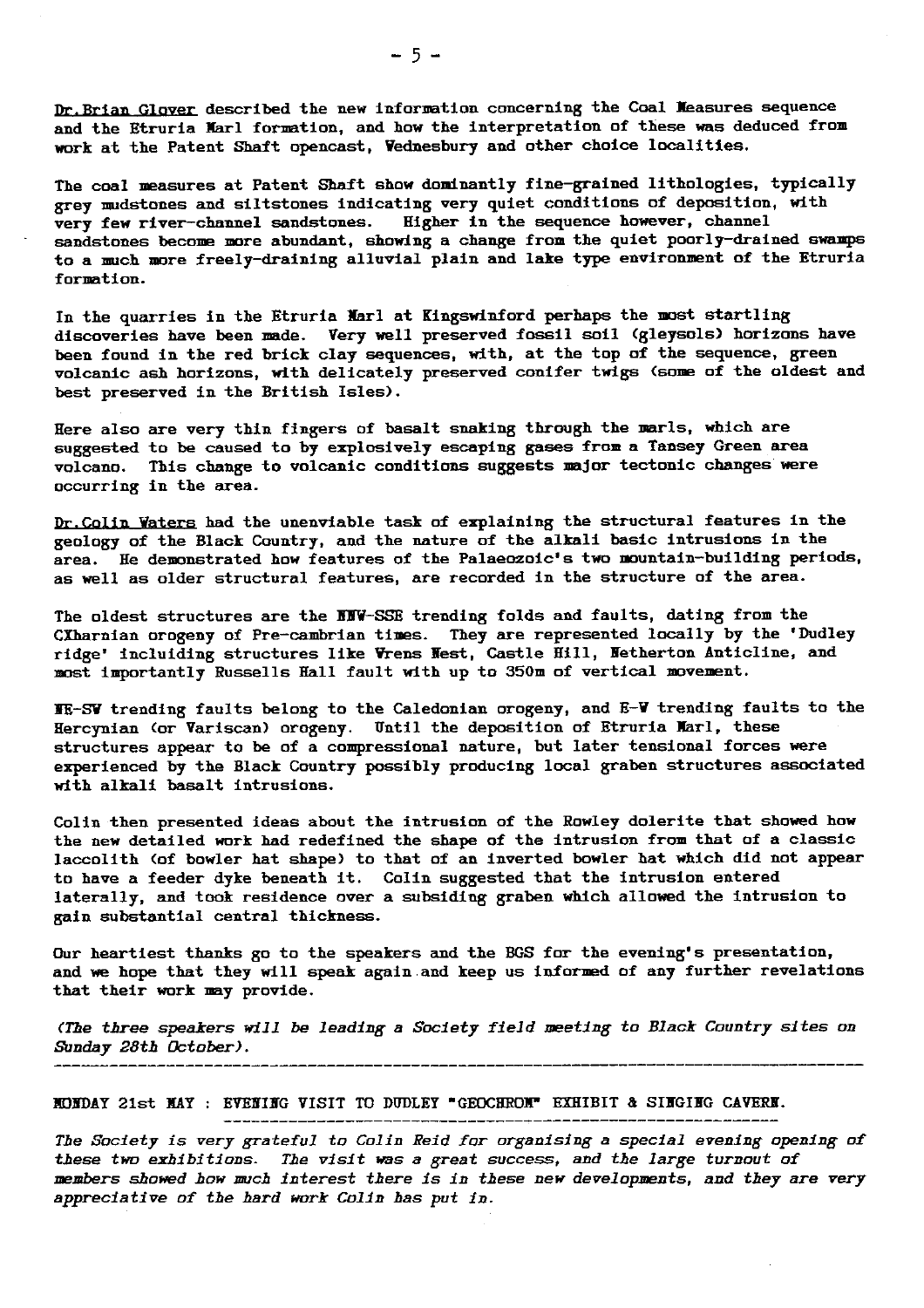Dr. Brian Glover described the new information concerning the Coal Measures sequence and the Etruria Karl formation, and how the interpretation of these was deduced from work at the Patent Shaft opencast, Vednesbury and other choice localities.

The coal measures at Patent Shaft show dominantly fine-grained lithologies, typically grey nudstones and siltstones indicating very quiet conditions of deposition, with very few river-channel sandstones. Higher in the sequence however, channel sandstones become more abundant, showing a change from the quiet poorly-drained swamps to a much more freely-draining alluvial plain and lake type environment of the Etruria formation.

In the quarries in the Etruria Marl at Kingswinford perhaps the most startling **discoveries have** been made. Very well preserved fossil soil (gleysols) horizons have been found in the red brick clay sequences, with, at the top of the sequence, green volcanic ash horizons, with delicately preserved conifer twigs (some of the oldest and best preserved in the British Isles).

Here also are very thin fingers of basalt snaking through the marls, which are suggested to be caused to by explosively escaping gases from a Tansey Green area volcano. This change to volcanic conditions suggests major tectonic changes were occurring in the area.

Dr.Colin Waters had the unenviable task of explaining the structural features in the geology of the **Black Country, and the nature** of the alkali basic intrusions in the area. He demonstrated how features of the Palaeozoic's two mountain--building periods, as well as older structural features, are recorded in the structure of the area.

The oldest structures are the NNW-SSE trending folds and faults, dating from the CXharnian orogeny of Pre-cambrian times. They are represented locally by the 'Dudley ridge' incluiding structures like Wrens Hest, Castle Hill, Netherton Anticline, and most importantly Russells Hall fault with up to 350m of vertical movement.

ME-SW trending faults belong to the Caledonian orogeny, and E-V trending faults to the Hercynian (or Variscan) orogeny. Until the deposition of Etruria Karl, these structures appear to be of a compressional nature, but later tensional forces were experienced by the Black Country possibly producing local graben structures associated with alkali basalt intrusions.

Colin then presented ideas about the intrusion of the Rowley dolerite that showed how the new detailed work had redefined the shape of the intrusion from that of a classic laccolith (of bowler hat shape) to that of an inverted bowler hat which did not appear to have a feeder dyke beneath it. Colin suggested that the intrusion entered laterally, and took residence over a subsiding graben which allowed the intrusion to gain substantial central thickness.

Our heartiest thanks go to the speakers and the BGS for the evening's presentation, and we hope that they will speak again and keep us informed of any further revelations that their work may provide.

*(The three speakers will be leading a* Society field meeting to Black Country sites an *Sunday 28th October).*

MONDAY 21st *MAY : EVENING VISIT TO* DUDLEY 'GEOCHROM" EXHIBIT & SINGING CAVERN.

*The Society is very* grateful to Colin Reid for organising a special evening opening of *these* two exhibitions. The visit was a great success, and *the large turnout of* members *showed bow snuck* interest there is in these new *developments,* and they are very *appreciative of the* hard work Colin has put in.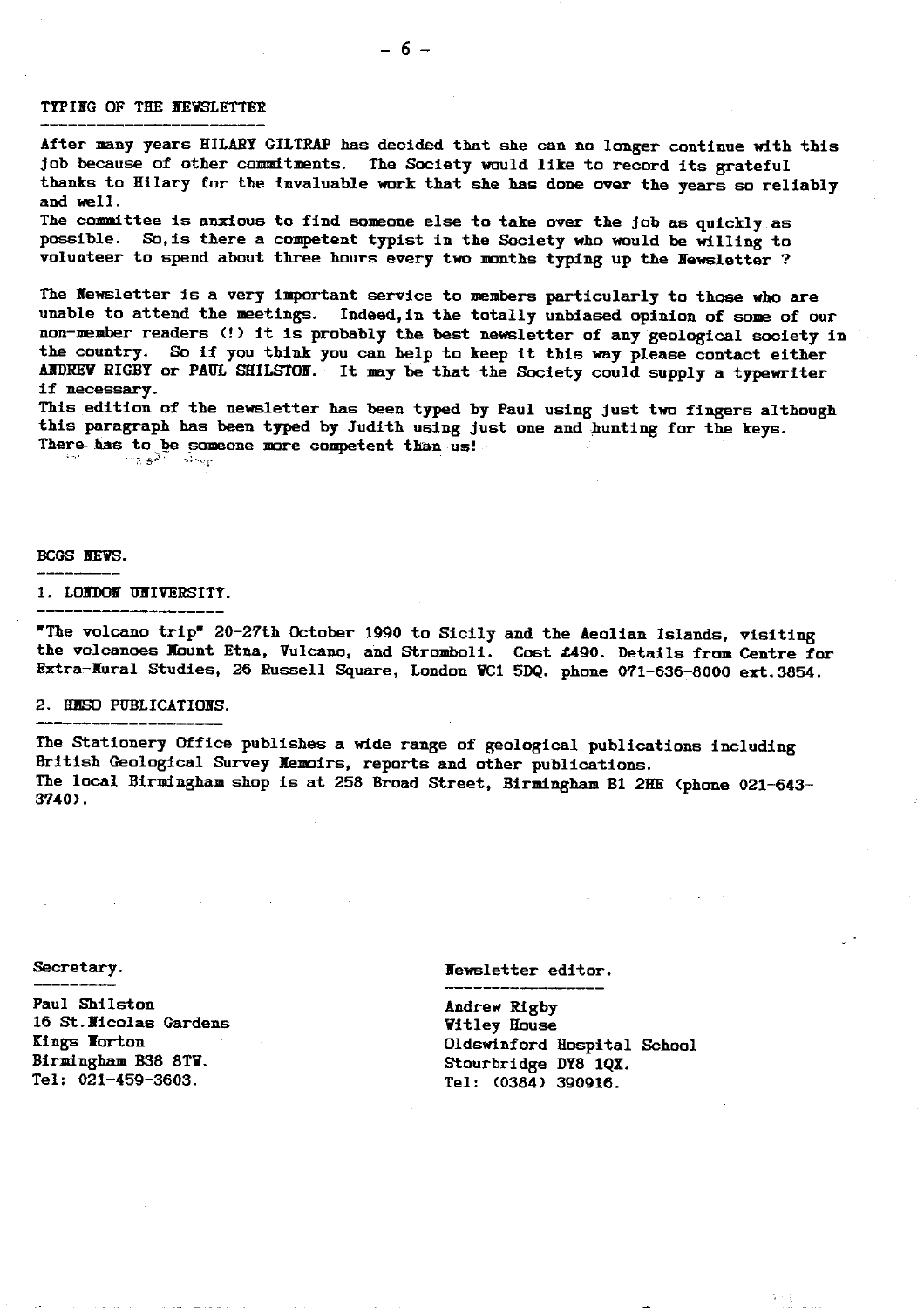### TYPING OF THE NEWSLETTER

After many years HILARY GILTRAP has decided that she can no longer continue with this *job because* of other commitments. The Society would like to record its grateful thanks to Hilary for the invaluable work that she has done over the years so reliably and well.

The committee Is anxious to find someone else to take over the job as quickly as possible. So, is there a competent typist in the Society who would be willing to volunteer to spend about three hours every two months typing up the Newsletter ?

 $-6-$ 

The Newsletter is a very important service to members particularly to those who are unable to attend the meetings. Indeed, in the totally unbiased opinion of some of our non-member readers (!) it is probably the best newsletter of any geological society in the country. So if you think you can help to keep it this way please contact either **AIDREV RIGBY** or PAUL SHILSIOH. It may be that the Society could supply a typewriter if necessary.

This edition of the newsletter has been typed by Paul using just two fingers although this paragraph has been typed by Judith using just one and hunting for the keys. There has to be someone more competent than us!

### BCGS NEWS.

#### 1. LONDON UNIVERSITY.

The volcano trip" 20-27th October 1990 to Sicily and the Aeolian Islands, visiting the volcanoes Mount Etna, Vulcano, and Stromboli. Cost £490. Details from Centre for Extra-Mural Studies, 26 Russell Square, London VC1 5DQ. phone 071-636-8000 ext.3854.

## **2. ffMSO** PUBLICATIONS.

The Stationery Office publishes a wide range of geological publications including British Geological Survey Memoirs, reports and other publications. The local Birmingham shop is at 258 Broad Street, Birmingham B1 2HE (phone 021 **-643**-- **3740).**

Paul Shilston Andrew Rigby 16 St.Hicolas Gardens *Vitley House* Birmingham B38 8TV.<br>Tel: 021-459-3603. Stourbridge DY8 1QX.

Secretary. Newsletter editor.

Eings Norton Class of Class of Class of Class of Class of Class of Class of Class of Class of Class of Class of Class of Class of Class of Class of Class of Class of Class of Class of Class of Class of Class of Class of Cl  $Tel: (0384) 390916.$